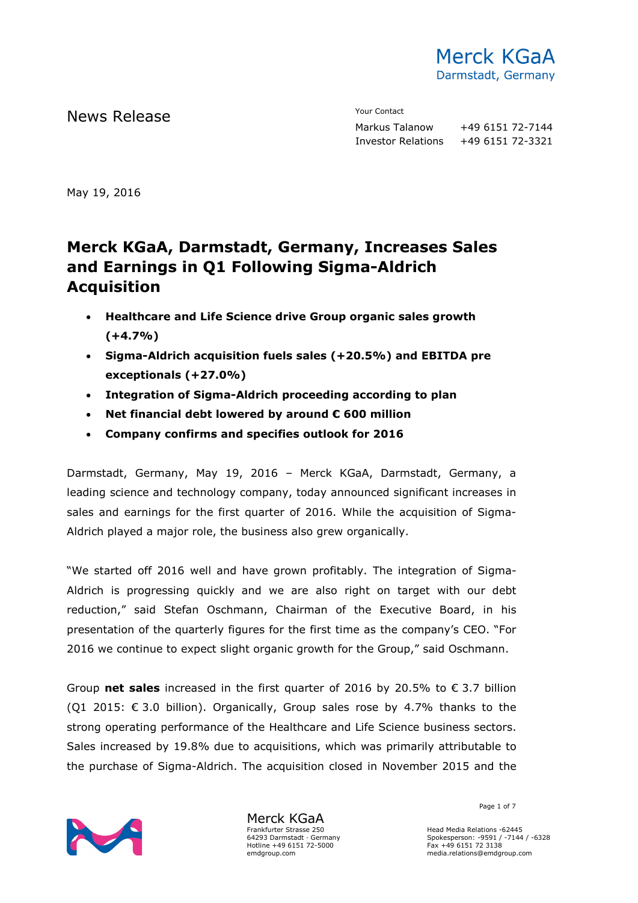

News Release The Contact Terms of the Mean of the Mean of the Vour Contact

Markus Talanow +49 6151 72-7144 Investor Relations +49 6151 72-3321

May 19, 2016

# **Merck KGaA, Darmstadt, Germany, Increases Sales and Earnings in Q1 Following Sigma-Aldrich Acquisition**

- **Healthcare and Life Science drive Group organic sales growth (+4.7%)**
- **Sigma-Aldrich acquisition fuels sales (+20.5%) and EBITDA pre exceptionals (+27.0%)**
- **Integration of Sigma-Aldrich proceeding according to plan**
- **Net financial debt lowered by around € 600 million**
- **Company confirms and specifies outlook for 2016**

Darmstadt, Germany, May 19, 2016 – Merck KGaA, Darmstadt, Germany, a leading science and technology company, today announced significant increases in sales and earnings for the first quarter of 2016. While the acquisition of Sigma-Aldrich played a major role, the business also grew organically.

"We started off 2016 well and have grown profitably. The integration of Sigma-Aldrich is progressing quickly and we are also right on target with our debt reduction," said Stefan Oschmann, Chairman of the Executive Board, in his presentation of the quarterly figures for the first time as the company's CEO. "For 2016 we continue to expect slight organic growth for the Group," said Oschmann.

Group **net sales** increased in the first quarter of 2016 by 20.5% to € 3.7 billion (Q1 2015:  $\epsilon$  3.0 billion). Organically, Group sales rose by 4.7% thanks to the strong operating performance of the Healthcare and Life Science business sectors. Sales increased by 19.8% due to acquisitions, which was primarily attributable to the purchase of Sigma-Aldrich. The acquisition closed in November 2015 and the



Merck KGaA Frankfurter Strasse 250 64293 Darmstadt · Germany Hotline +49 6151 72-5000 emdgroup.com

Page 1 of 7  $^{\circ}$ 

Head Media Relations -62445 Spokesperson: -9591 / -7144 / -6328 Fax +49 6151 72 3138 media.relations@emdgroup.com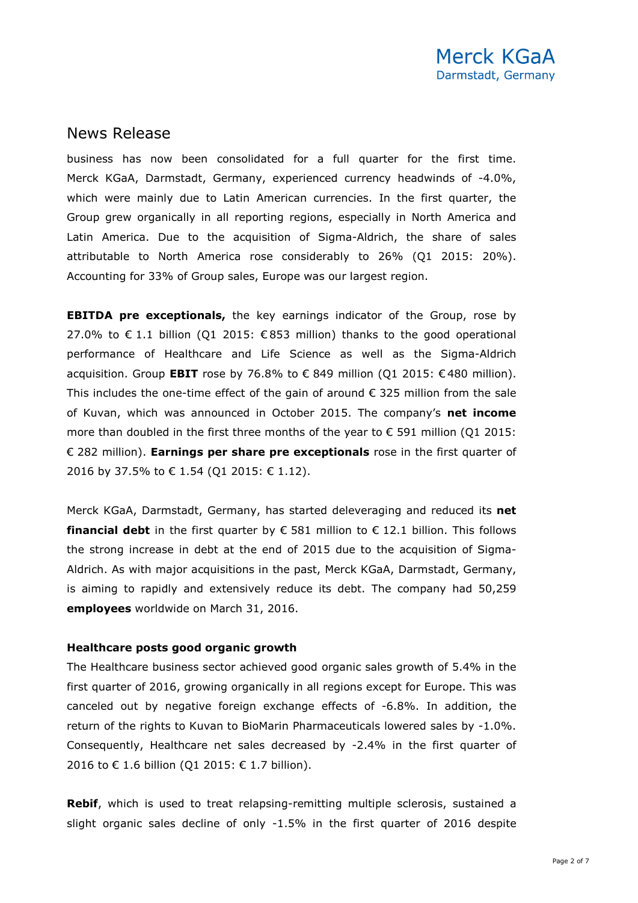business has now been consolidated for a full quarter for the first time. Merck KGaA, Darmstadt, Germany, experienced currency headwinds of -4.0%, which were mainly due to Latin American currencies. In the first quarter, the Group grew organically in all reporting regions, especially in North America and Latin America. Due to the acquisition of Sigma-Aldrich, the share of sales attributable to North America rose considerably to 26% (Q1 2015: 20%). Accounting for 33% of Group sales, Europe was our largest region.

**EBITDA pre exceptionals,** the key earnings indicator of the Group, rose by 27.0% to € 1.1 billion (O1 2015: €853 million) thanks to the good operational performance of Healthcare and Life Science as well as the Sigma-Aldrich acquisition. Group **EBIT** rose by 76.8% to  $\epsilon$  849 million (Q1 2015:  $\epsilon$  480 million). This includes the one-time effect of the gain of around  $\epsilon$  325 million from the sale of Kuvan, which was announced in October 2015. The company's **net income** more than doubled in the first three months of the year to  $\epsilon$  591 million (Q1 2015: € 282 million). **Earnings per share pre exceptionals** rose in the first quarter of 2016 by 37.5% to € 1.54 (Q1 2015: € 1.12).

Merck KGaA, Darmstadt, Germany, has started deleveraging and reduced its **net financial debt** in the first quarter by  $\epsilon$  581 million to  $\epsilon$  12.1 billion. This follows the strong increase in debt at the end of 2015 due to the acquisition of Sigma-Aldrich. As with major acquisitions in the past, Merck KGaA, Darmstadt, Germany, is aiming to rapidly and extensively reduce its debt. The company had 50,259 **employees** worldwide on March 31, 2016.

#### **Healthcare posts good organic growth**

The Healthcare business sector achieved good organic sales growth of 5.4% in the first quarter of 2016, growing organically in all regions except for Europe. This was canceled out by negative foreign exchange effects of -6.8%. In addition, the return of the rights to Kuvan to BioMarin Pharmaceuticals lowered sales by -1.0%. Consequently, Healthcare net sales decreased by -2.4% in the first quarter of 2016 to € 1.6 billion (Q1 2015: € 1.7 billion).

**Rebif**, which is used to treat relapsing-remitting multiple sclerosis, sustained a slight organic sales decline of only -1.5% in the first quarter of 2016 despite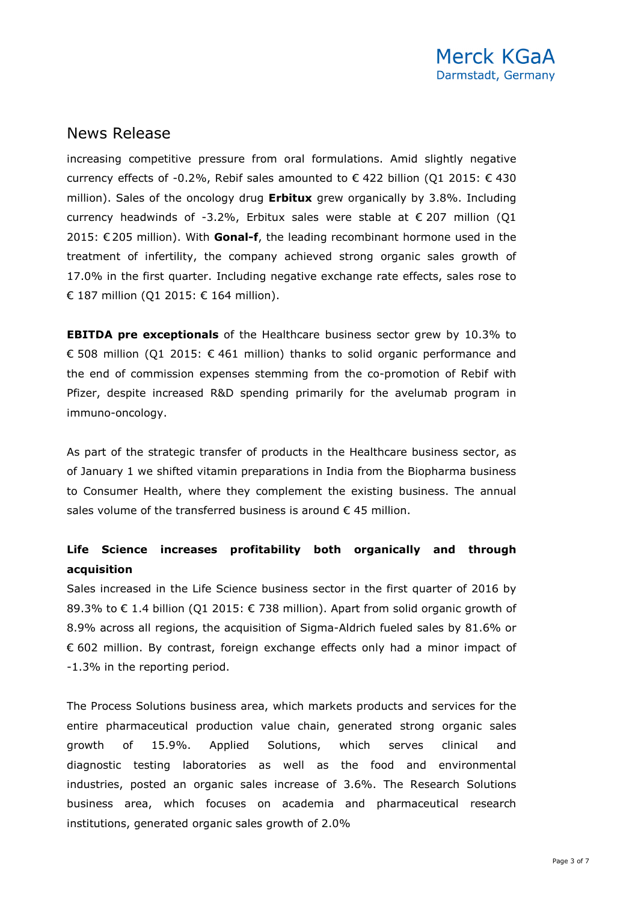increasing competitive pressure from oral formulations. Amid slightly negative currency effects of -0.2%, Rebif sales amounted to  $\epsilon$  422 billion (Q1 2015:  $\epsilon$  430 million). Sales of the oncology drug **Erbitux** grew organically by 3.8%. Including currency headwinds of -3.2%, Erbitux sales were stable at  $\epsilon$  207 million (Q1 2015: € 205 million). With **Gonal-f**, the leading recombinant hormone used in the treatment of infertility, the company achieved strong organic sales growth of 17.0% in the first quarter. Including negative exchange rate effects, sales rose to € 187 million (Q1 2015: € 164 million).

**EBITDA pre exceptionals** of the Healthcare business sector grew by 10.3% to € 508 million (Q1 2015: € 461 million) thanks to solid organic performance and the end of commission expenses stemming from the co-promotion of Rebif with Pfizer, despite increased R&D spending primarily for the avelumab program in immuno-oncology.

As part of the strategic transfer of products in the Healthcare business sector, as of January 1 we shifted vitamin preparations in India from the Biopharma business to Consumer Health, where they complement the existing business. The annual sales volume of the transferred business is around  $\epsilon$  45 million.

### **Life Science increases profitability both organically and through acquisition**

Sales increased in the Life Science business sector in the first quarter of 2016 by 89.3% to  $\epsilon$  1.4 billion (Q1 2015:  $\epsilon$  738 million). Apart from solid organic growth of 8.9% across all regions, the acquisition of Sigma-Aldrich fueled sales by 81.6% or € 602 million. By contrast, foreign exchange effects only had a minor impact of -1.3% in the reporting period.

The Process Solutions business area, which markets products and services for the entire pharmaceutical production value chain, generated strong organic sales growth of 15.9%. Applied Solutions, which serves clinical and diagnostic testing laboratories as well as the food and environmental industries, posted an organic sales increase of 3.6%. The Research Solutions business area, which focuses on academia and pharmaceutical research institutions, generated organic sales growth of 2.0%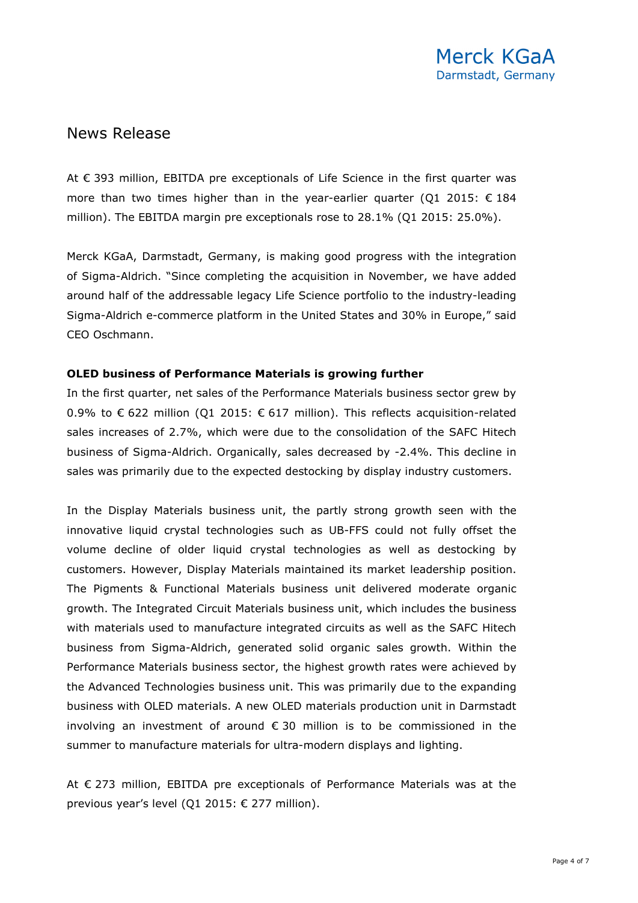At € 393 million, EBITDA pre exceptionals of Life Science in the first quarter was more than two times higher than in the year-earlier quarter (O1 2015:  $\epsilon$  184 million). The EBITDA margin pre exceptionals rose to 28.1% (Q1 2015: 25.0%).

Merck KGaA, Darmstadt, Germany, is making good progress with the integration of Sigma-Aldrich. "Since completing the acquisition in November, we have added around half of the addressable legacy Life Science portfolio to the industry-leading Sigma-Aldrich e-commerce platform in the United States and 30% in Europe," said CEO Oschmann.

#### **OLED business of Performance Materials is growing further**

In the first quarter, net sales of the Performance Materials business sector grew by 0.9% to € 622 million (Q1 2015: € 617 million). This reflects acquisition-related sales increases of 2.7%, which were due to the consolidation of the SAFC Hitech business of Sigma-Aldrich. Organically, sales decreased by -2.4%. This decline in sales was primarily due to the expected destocking by display industry customers.

In the Display Materials business unit, the partly strong growth seen with the innovative liquid crystal technologies such as UB-FFS could not fully offset the volume decline of older liquid crystal technologies as well as destocking by customers. However, Display Materials maintained its market leadership position. The Pigments & Functional Materials business unit delivered moderate organic growth. The Integrated Circuit Materials business unit, which includes the business with materials used to manufacture integrated circuits as well as the SAFC Hitech business from Sigma-Aldrich, generated solid organic sales growth. Within the Performance Materials business sector, the highest growth rates were achieved by the Advanced Technologies business unit. This was primarily due to the expanding business with OLED materials. A new OLED materials production unit in Darmstadt involving an investment of around  $\epsilon$  30 million is to be commissioned in the summer to manufacture materials for ultra-modern displays and lighting.

At € 273 million, EBITDA pre exceptionals of Performance Materials was at the previous year's level (Q1 2015: € 277 million).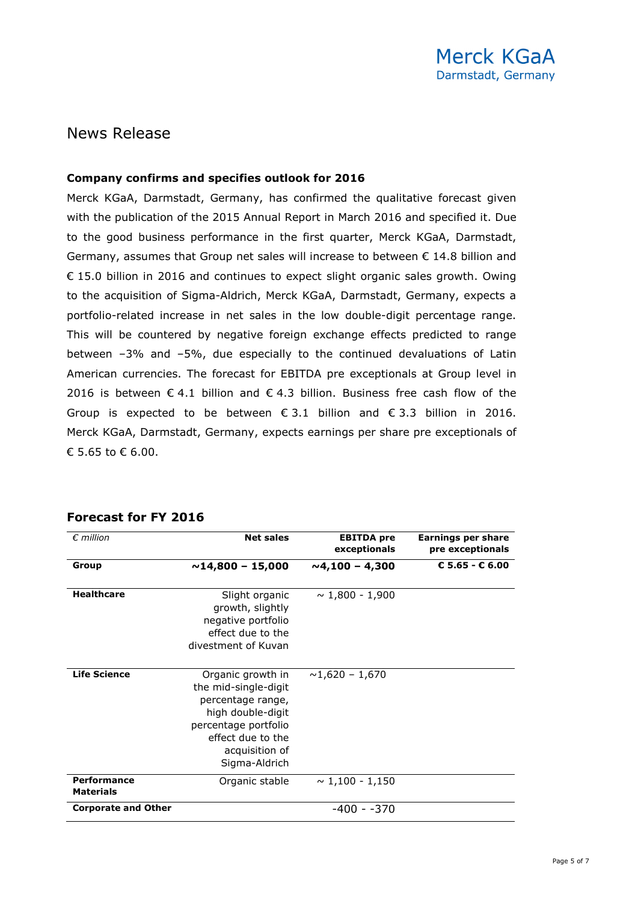#### **Company confirms and specifies outlook for 2016**

Merck KGaA, Darmstadt, Germany, has confirmed the qualitative forecast given with the publication of the 2015 Annual Report in March 2016 and specified it. Due to the good business performance in the first quarter, Merck KGaA, Darmstadt, Germany, assumes that Group net sales will increase to between  $\epsilon$  14.8 billion and € 15.0 billion in 2016 and continues to expect slight organic sales growth. Owing to the acquisition of Sigma-Aldrich, Merck KGaA, Darmstadt, Germany, expects a portfolio-related increase in net sales in the low double-digit percentage range. This will be countered by negative foreign exchange effects predicted to range between –3% and –5%, due especially to the continued devaluations of Latin American currencies. The forecast for EBITDA pre exceptionals at Group level in 2016 is between € 4.1 billion and € 4.3 billion. Business free cash flow of the Group is expected to be between  $\epsilon$  3.1 billion and  $\epsilon$  3.3 billion in 2016. Merck KGaA, Darmstadt, Germany, expects earnings per share pre exceptionals of € 5.65 to € 6.00.

| $\epsilon$ million                     | <b>Net sales</b>                                                                                                                                                    | <b>EBITDA</b> pre<br>exceptionals | <b>Earnings per share</b><br>pre exceptionals |
|----------------------------------------|---------------------------------------------------------------------------------------------------------------------------------------------------------------------|-----------------------------------|-----------------------------------------------|
| Group                                  | $\sim$ 14,800 - 15,000                                                                                                                                              | $\sim$ 4,100 – 4,300              | € 5.65 - € 6.00                               |
| <b>Healthcare</b>                      | Slight organic<br>growth, slightly<br>negative portfolio<br>effect due to the<br>divestment of Kuvan                                                                | $\sim$ 1,800 - 1,900              |                                               |
| <b>Life Science</b>                    | Organic growth in<br>the mid-single-digit<br>percentage range,<br>high double-digit<br>percentage portfolio<br>effect due to the<br>acquisition of<br>Sigma-Aldrich | $\sim$ 1,620 - 1,670              |                                               |
| <b>Performance</b><br><b>Materials</b> | Organic stable                                                                                                                                                      | $\sim$ 1,100 - 1,150              |                                               |
| <b>Corporate and Other</b>             |                                                                                                                                                                     | $-400 - -370$                     |                                               |

#### **Forecast for FY 2016**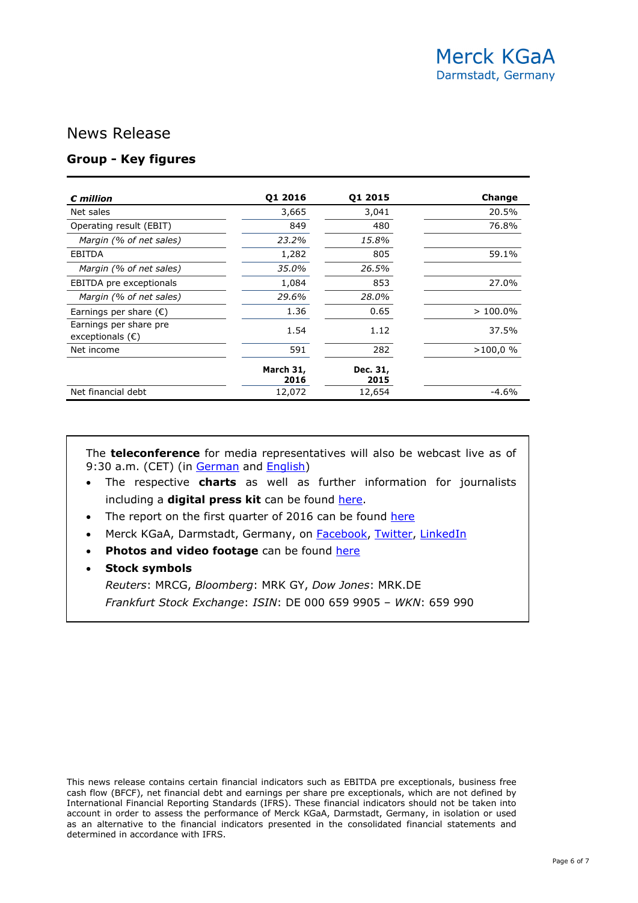### **Group - Key figures**

| $c$ million                                         | 01 2016           | 01 2015          | Change     |
|-----------------------------------------------------|-------------------|------------------|------------|
| Net sales                                           | 3,665             | 3,041            | 20.5%      |
| Operating result (EBIT)                             | 849               | 480              | 76.8%      |
| Margin (% of net sales)                             | 23.2%             | 15.8%            |            |
| EBITDA                                              | 1,282             | 805              | 59.1%      |
| Margin (% of net sales)                             | 35.0%             | 26.5%            |            |
| EBITDA pre exceptionals                             | 1,084             | 853              | 27.0%      |
| Margin (% of net sales)                             | 29.6%             | 28.0%            |            |
| Earnings per share $(\epsilon)$                     | 1.36              | 0.65             | $>100.0\%$ |
| Earnings per share pre<br>exceptionals $(\epsilon)$ | 1.54              | 1.12             | 37.5%      |
| Net income                                          | 591               | 282              | $>100,0$ % |
|                                                     | March 31,<br>2016 | Dec. 31,<br>2015 |            |
| Net financial debt                                  | 12,072            | 12,654           | $-4.6%$    |

The **teleconference** for media representatives will also be webcast live as of 9:30 a.m. (CET) (in [German](http://event.onlineseminarsolutions.com/r.htm?e=1189737&s=1&k=DD06983F64F25B1EAE87CB75AC2BFBBA) and [English\)](http://event.onlineseminarsolutions.com/r.htm?e=1189728&s=1&k=0E940A06230B3F795721A9E493243EB5)

- The respective **charts** as well as further information for journalists including a **digital press kit** can be found [here.](http://www.emdgroup.com/q1_2016)
- The report on the first quarter of 2016 can be found [here](http://www.emdgroup.com/q1_2016)
- Merck KGaA, Darmstadt, Germany, on [Facebook,](https://www.facebook.com/emdgroup) [Twitter,](https://twitter.com/EMDgroup) [LinkedIn](http://www.linkedin.com/company/emd-affiliates-of-merck-kgaa-darmstadt-germany)
- Photos and video footage can be found [here](http://www.emdgroup.com/emd/media/download_library/download_library.html?firstLogin=true)

#### • **Stock symbols**

*Reuters*: MRCG, *Bloomberg*: MRK GY, *Dow Jones*: MRK.DE *Frankfurt Stock Exchange*: *ISIN*: DE 000 659 9905 – *WKN*: 659 990

This news release contains certain financial indicators such as EBITDA pre exceptionals, business free cash flow (BFCF), net financial debt and earnings per share pre exceptionals, which are not defined by International Financial Reporting Standards (IFRS). These financial indicators should not be taken into account in order to assess the performance of Merck KGaA, Darmstadt, Germany, in isolation or used as an alternative to the financial indicators presented in the consolidated financial statements and determined in accordance with IFRS.